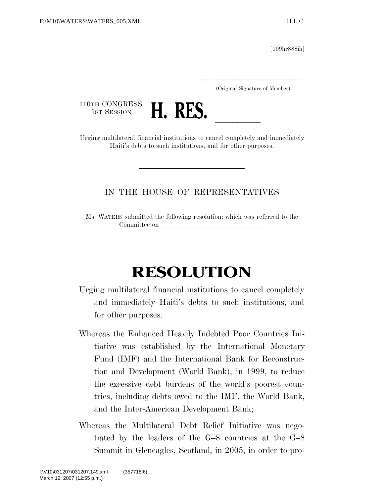[109hr888ih]

.....................................................................

(Original Signature of Member)

110TH CONGRESS<br>1st Session



110TH CONGRESS<br>1st SESSION **H. RES.**<br>Urging multilateral financial institutions to cancel completely and immediately Haiti's debts to such institutions, and for other purposes.

## IN THE HOUSE OF REPRESENTATIVES

Ms. WATERS submitted the following resolution; which was referred to the Committee on

## **RESOLUTION**

- Urging multilateral financial institutions to cancel completely and immediately Haiti's debts to such institutions, and for other purposes.
- Whereas the Enhanced Heavily Indebted Poor Countries Initiative was established by the International Monetary Fund (IMF) and the International Bank for Reconstruction and Development (World Bank), in 1999, to reduce the excessive debt burdens of the world's poorest countries, including debts owed to the IMF, the World Bank, and the Inter-American Development Bank;
- Whereas the Multilateral Debt Relief Initiative was negotiated by the leaders of the G–8 countries at the G–8 Summit in Gleneagles, Scotland, in 2005, in order to pro-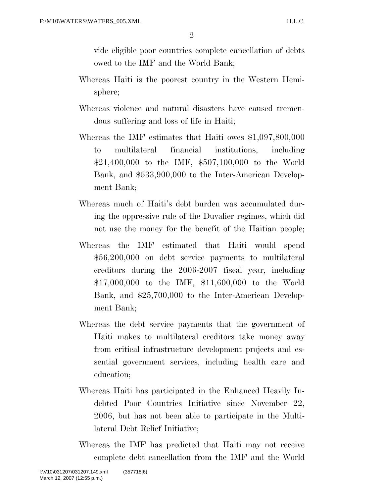$\mathfrak{D}$ 

vide eligible poor countries complete cancellation of debts owed to the IMF and the World Bank;

- Whereas Haiti is the poorest country in the Western Hemisphere;
- Whereas violence and natural disasters have caused tremendous suffering and loss of life in Haiti;
- Whereas the IMF estimates that Haiti owes \$1,097,800,000 to multilateral financial institutions, including \$21,400,000 to the IMF, \$507,100,000 to the World Bank, and \$533,900,000 to the Inter-American Development Bank;
- Whereas much of Haiti's debt burden was accumulated during the oppressive rule of the Duvalier regimes, which did not use the money for the benefit of the Haitian people;
- Whereas the IMF estimated that Haiti would spend \$56,200,000 on debt service payments to multilateral creditors during the 2006-2007 fiscal year, including \$17,000,000 to the IMF, \$11,600,000 to the World Bank, and \$25,700,000 to the Inter-American Development Bank;
- Whereas the debt service payments that the government of Haiti makes to multilateral creditors take money away from critical infrastructure development projects and essential government services, including health care and education;
- Whereas Haiti has participated in the Enhanced Heavily Indebted Poor Countries Initiative since November 22, 2006, but has not been able to participate in the Multilateral Debt Relief Initiative;
- Whereas the IMF has predicted that Haiti may not receive complete debt cancellation from the IMF and the World